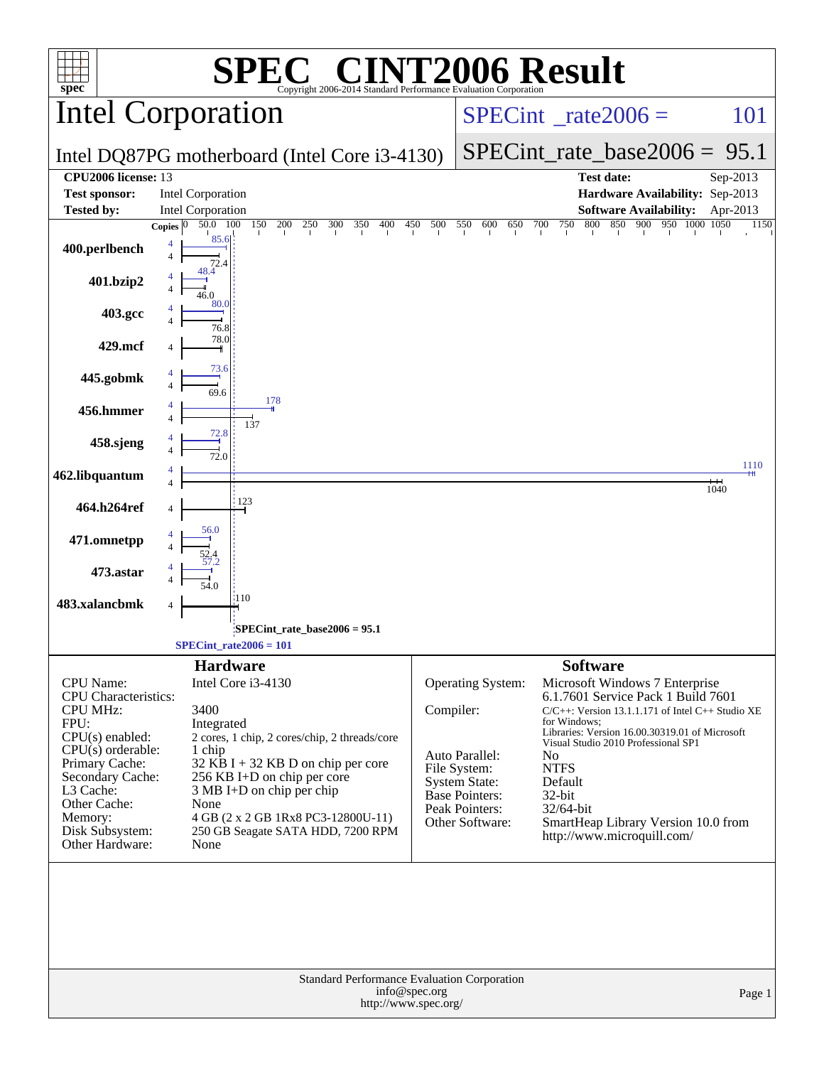| $spec^*$                                | <b>C® CINT2006 Result</b><br>Copyright 2006-2014 Standard Performance Evaluation Corporation |           |                                          |                                                                                             |          |
|-----------------------------------------|----------------------------------------------------------------------------------------------|-----------|------------------------------------------|---------------------------------------------------------------------------------------------|----------|
|                                         | Intel Corporation                                                                            |           | $SPECint^{\circ}$ <sub>_rate2006</sub> = | 101                                                                                         |          |
|                                         | Intel DQ87PG motherboard (Intel Core i3-4130)                                                |           | $SPECint$ rate_base2006 = 95.1           |                                                                                             |          |
| CPU2006 license: 13                     |                                                                                              |           |                                          | <b>Test date:</b>                                                                           | Sep-2013 |
| <b>Test sponsor:</b>                    | <b>Intel Corporation</b>                                                                     |           |                                          | Hardware Availability: Sep-2013                                                             |          |
| <b>Tested by:</b>                       | <b>Intel Corporation</b>                                                                     |           |                                          | <b>Software Availability:</b>                                                               | Apr-2013 |
|                                         | 150<br>200<br>50.0 100<br>250<br>300<br>350<br>400<br><b>Copies</b>                          | 450 500   | 550<br>600<br>650 700                    | 750<br>800<br>850 900 950 1000 1050                                                         | 1150     |
| 400.perlbench                           | 85.6<br>$\overline{4}$                                                                       |           |                                          |                                                                                             |          |
| 401.bzip2                               |                                                                                              |           |                                          |                                                                                             |          |
| 403.gcc                                 | 80.0<br>76.8                                                                                 |           |                                          |                                                                                             |          |
| 429.mcf                                 | 78.0<br>73.6                                                                                 |           |                                          |                                                                                             |          |
| 445.gobmk                               | 69.6<br>178                                                                                  |           |                                          |                                                                                             |          |
| 456.hmmer                               | 137<br>72.8                                                                                  |           |                                          |                                                                                             |          |
| 458.sjeng                               | 72.0                                                                                         |           |                                          |                                                                                             | 1110     |
| 462.libquantum                          |                                                                                              |           |                                          | $^+$                                                                                        | 1040     |
| 464.h264ref                             | 123                                                                                          |           |                                          |                                                                                             |          |
| 471.omnetpp                             | 56.0                                                                                         |           |                                          |                                                                                             |          |
| 473.astar                               |                                                                                              |           |                                          |                                                                                             |          |
| 483.xalancbmk                           | :110<br>4                                                                                    |           |                                          |                                                                                             |          |
|                                         | SPECint_rate_base2006 = 95.1                                                                 |           |                                          |                                                                                             |          |
|                                         | $SPECint_rate2006 = 101$                                                                     |           |                                          |                                                                                             |          |
|                                         |                                                                                              |           |                                          |                                                                                             |          |
| CPU Name:                               | <b>Hardware</b><br>Intel Core i3-4130                                                        |           | Operating System:                        | <b>Software</b><br>Microsoft Windows 7 Enterprise                                           |          |
| CPU Characteristics:<br><b>CPU MHz:</b> | 3400                                                                                         | Compiler: |                                          | 6.1.7601 Service Pack 1 Build 7601<br>$C/C++$ : Version 13.1.1.171 of Intel $C++$ Studio XE |          |
| FPU:                                    | Integrated                                                                                   |           |                                          | for Windows:                                                                                |          |
| $CPU(s)$ enabled:                       | 2 cores, 1 chip, 2 cores/chip, 2 threads/core                                                |           |                                          | Libraries: Version 16.00.30319.01 of Microsoft<br>Visual Studio 2010 Professional SP1       |          |
| $CPU(s)$ orderable:                     | 1 chip                                                                                       |           | Auto Parallel:                           | N <sub>0</sub>                                                                              |          |
| Primary Cache:                          | $32$ KB I + 32 KB D on chip per core                                                         |           | File System:                             | <b>NTFS</b>                                                                                 |          |
| Secondary Cache:<br>L3 Cache:           | 256 KB I+D on chip per core<br>3 MB I+D on chip per chip                                     |           | <b>System State:</b><br>Base Pointers:   | Default                                                                                     |          |
| Other Cache:                            | None                                                                                         |           | Peak Pointers:                           | 32-bit<br>32/64-bit                                                                         |          |
| Memory:                                 | 4 GB (2 x 2 GB 1Rx8 PC3-12800U-11)                                                           |           | Other Software:                          | SmartHeap Library Version 10.0 from                                                         |          |
| Disk Subsystem:<br>Other Hardware:      | 250 GB Seagate SATA HDD, 7200 RPM<br>None                                                    |           |                                          | http://www.microquill.com/                                                                  |          |
|                                         |                                                                                              |           |                                          |                                                                                             |          |
|                                         | Standard Performance Evaluation Corporation<br>info@spec.org<br>http://www.spec.org/         |           |                                          |                                                                                             | Page 1   |
|                                         |                                                                                              |           |                                          |                                                                                             |          |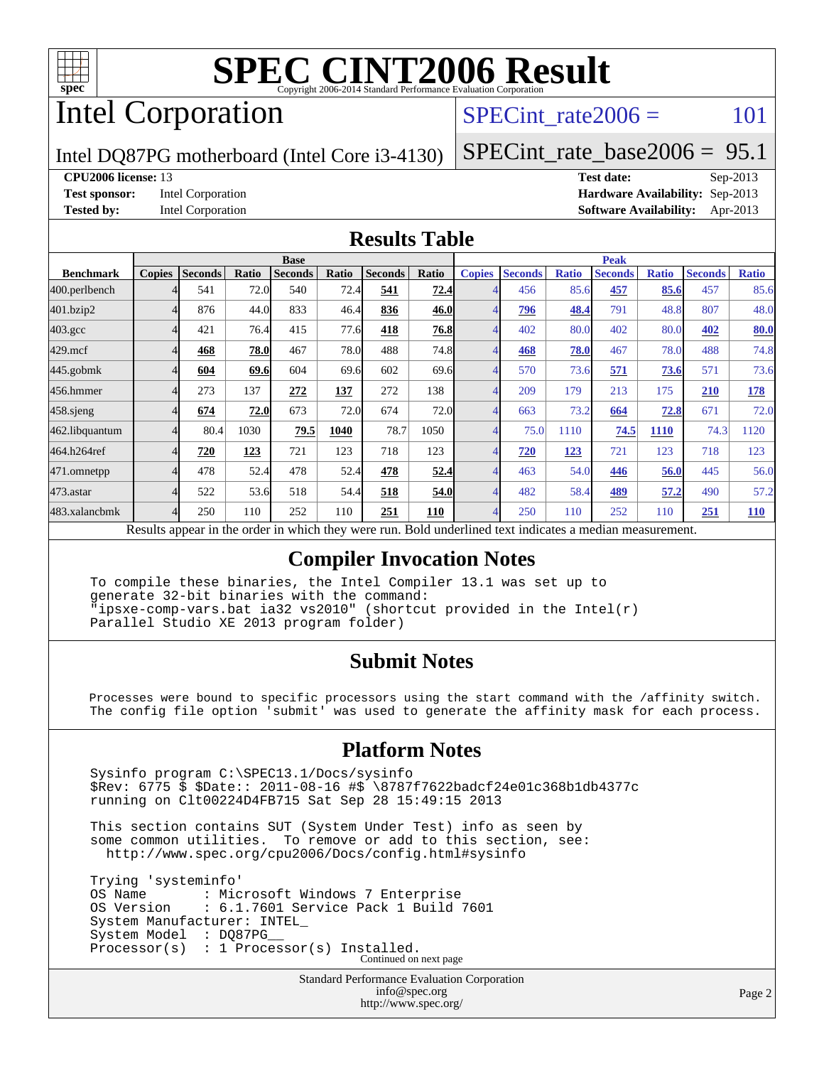

# Intel Corporation

 $SPECTnt_rate2006 = 101$ 

Intel DQ87PG motherboard (Intel Core i3-4130)

[SPECint\\_rate\\_base2006 =](http://www.spec.org/auto/cpu2006/Docs/result-fields.html#SPECintratebase2006) 95.1

### **[CPU2006 license:](http://www.spec.org/auto/cpu2006/Docs/result-fields.html#CPU2006license)** 13 **[Test date:](http://www.spec.org/auto/cpu2006/Docs/result-fields.html#Testdate)** Sep-2013

**[Test sponsor:](http://www.spec.org/auto/cpu2006/Docs/result-fields.html#Testsponsor)** Intel Corporation **[Hardware Availability:](http://www.spec.org/auto/cpu2006/Docs/result-fields.html#HardwareAvailability)** Sep-2013 **[Tested by:](http://www.spec.org/auto/cpu2006/Docs/result-fields.html#Testedby)** Intel Corporation **[Software Availability:](http://www.spec.org/auto/cpu2006/Docs/result-fields.html#SoftwareAvailability)** Apr-2013

### **[Results Table](http://www.spec.org/auto/cpu2006/Docs/result-fields.html#ResultsTable)**

|                    | <b>Base</b>               |                  |              |                |       |                | <b>Peak</b>              |               |                                  |              |                |              |                |              |
|--------------------|---------------------------|------------------|--------------|----------------|-------|----------------|--------------------------|---------------|----------------------------------|--------------|----------------|--------------|----------------|--------------|
| <b>Benchmark</b>   | <b>Copies</b>             | <b>Seconds</b>   | <b>Ratio</b> | <b>Seconds</b> | Ratio | <b>Seconds</b> | Ratio                    | <b>Copies</b> | <b>Seconds</b>                   | <b>Ratio</b> | <b>Seconds</b> | <b>Ratio</b> | <b>Seconds</b> | <b>Ratio</b> |
| 400.perlbench      |                           | 541              | 72.0         | 540            | 72.4  | 541            | 72.4                     |               | 456                              | 85.6         | 457            | 85.6         | 457            | 85.6         |
| 401.bzip2          |                           | 876              | 44.0         | 833            | 46.4  | 836            | 46.0                     | 4             | 796                              | 48.4         | 791            | 48.8         | 807            | 48.0         |
| $403.\mathrm{gcc}$ | 4                         | 421              | 76.4         | 415            | 77.6  | 418            | 76.8                     | 4             | 402                              | 80.0         | 402            | 80.0         | 402            | <b>80.0</b>  |
| $429$ .mcf         |                           | 468              | 78.0         | 467            | 78.0  | 488            | 74.8                     | 4             | 468                              | 78.0         | 467            | 78.0         | 488            | 74.8         |
| $445$ .gobmk       | 4                         | 604              | 69.6         | 604            | 69.6  | 602            | 69.6                     | 4             | 570                              | 73.6         | 571            | 73.6         | 571            | 73.6         |
| 456.hmmer          |                           | 273              | 137          | 272            | 137   | 272            | 138                      |               | 209                              | 179          | 213            | 175          | 210            | <b>178</b>   |
| $458$ .sjeng       | 4                         | 674              | 72.0         | 673            | 72.0  | 674            | 72.0                     | 4             | 663                              | 73.2         | 664            | 72.8         | 671            | 72.0         |
| 462.libquantum     |                           | 80.4             | 1030         | 79.5           | 1040  | 78.7           | 1050                     | 4             | 75.0                             | 1110         | 74.5           | 1110         | 74.3           | 1120         |
| 464.h264ref        | 4                         | 720              | 123          | 721            | 123   | 718            | 123                      | 4             | 720                              | 123          | 721            | 123          | 718            | 123          |
| 471.omnetpp        | 4                         | 478              | 52.4         | 478            | 52.4  | 478            | 52.4                     | 4             | 463                              | 54.0         | 446            | 56.0         | 445            | 56.0         |
| 473.astar          |                           | 522              | 53.6         | 518            | 54.4  | 518            | 54.0                     | 4             | 482                              | 58.4         | 489            | 57.2         | 490            | 57.2         |
| 483.xalancbmk      | 4                         | 250              | 110          | 252            | 110   | 251            | 110                      | 4             | 250                              | 110          | 252            | 110          | 251            | <b>110</b>   |
|                    | $\mathbf{D}$ $\mathbf{D}$ | <b>Allen 21.</b> |              | 1.3.1.41       |       |                | $D - 1.1 - 1.11 - 11.11$ |               | <b><i>Providence Address</i></b> |              |                |              |                |              |

Results appear in the [order in which they were run.](http://www.spec.org/auto/cpu2006/Docs/result-fields.html#RunOrder) Bold underlined text [indicates a median measurement.](http://www.spec.org/auto/cpu2006/Docs/result-fields.html#Median)

### **[Compiler Invocation Notes](http://www.spec.org/auto/cpu2006/Docs/result-fields.html#CompilerInvocationNotes)**

 To compile these binaries, the Intel Compiler 13.1 was set up to generate 32-bit binaries with the command: "ipsxe-comp-vars.bat ia32 vs2010" (shortcut provided in the Intel(r) Parallel Studio XE 2013 program folder)

### **[Submit Notes](http://www.spec.org/auto/cpu2006/Docs/result-fields.html#SubmitNotes)**

 Processes were bound to specific processors using the start command with the /affinity switch. The config file option 'submit' was used to generate the affinity mask for each process.

### **[Platform Notes](http://www.spec.org/auto/cpu2006/Docs/result-fields.html#PlatformNotes)**

 Sysinfo program C:\SPEC13.1/Docs/sysinfo \$Rev: 6775 \$ \$Date:: 2011-08-16 #\$ \8787f7622badcf24e01c368b1db4377c running on Clt00224D4FB715 Sat Sep 28 15:49:15 2013

 This section contains SUT (System Under Test) info as seen by some common utilities. To remove or add to this section, see: <http://www.spec.org/cpu2006/Docs/config.html#sysinfo>

 Trying 'systeminfo' OS Name : Microsoft Windows 7 Enterprise<br>OS Version : 6.1.7601 Service Pack 1 Build : 6.1.7601 Service Pack 1 Build 7601 System Manufacturer: INTEL\_ System Model : DQ87PG Processor(s) : 1 Processor(s) Installed. Continued on next page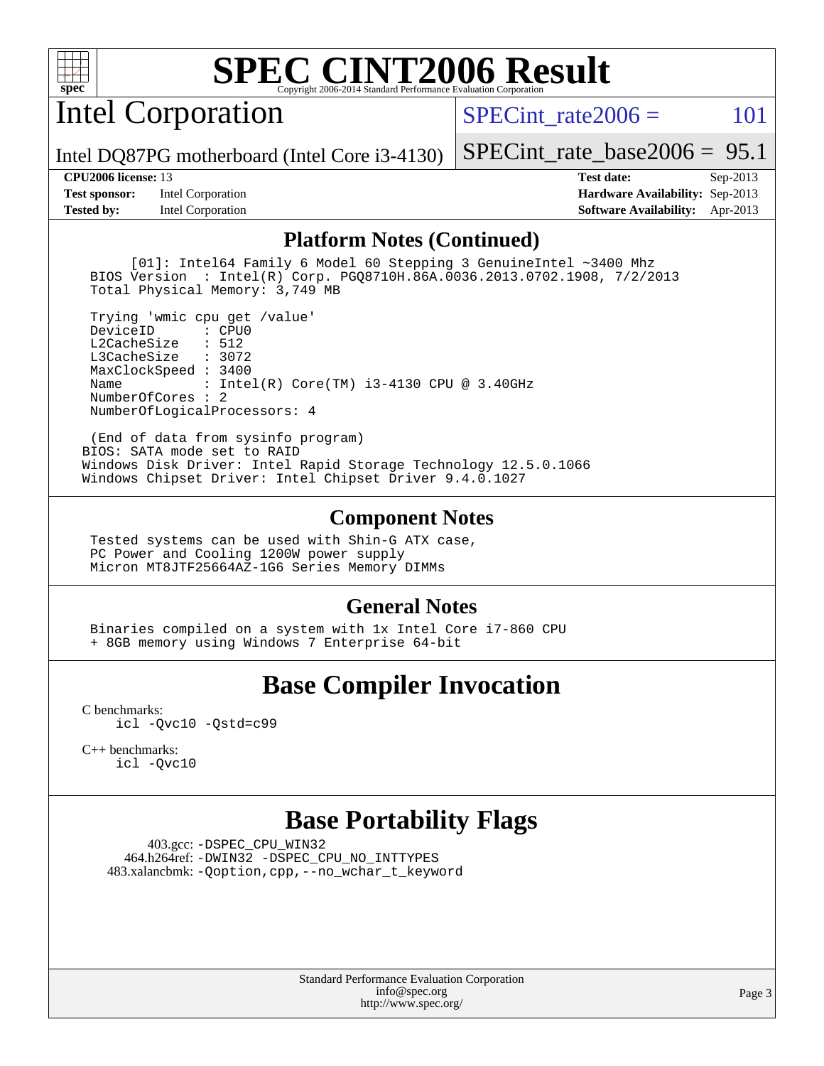

Intel Corporation

SPECint rate $2006 = 101$ 

Intel DQ87PG motherboard (Intel Core i3-4130)

**[Tested by:](http://www.spec.org/auto/cpu2006/Docs/result-fields.html#Testedby)** Intel Corporation **[Software Availability:](http://www.spec.org/auto/cpu2006/Docs/result-fields.html#SoftwareAvailability)** Apr-2013

[SPECint\\_rate\\_base2006 =](http://www.spec.org/auto/cpu2006/Docs/result-fields.html#SPECintratebase2006) 95.1 **[CPU2006 license:](http://www.spec.org/auto/cpu2006/Docs/result-fields.html#CPU2006license)** 13 **[Test date:](http://www.spec.org/auto/cpu2006/Docs/result-fields.html#Testdate)** Sep-2013 **[Test sponsor:](http://www.spec.org/auto/cpu2006/Docs/result-fields.html#Testsponsor)** Intel Corporation **[Hardware Availability:](http://www.spec.org/auto/cpu2006/Docs/result-fields.html#HardwareAvailability)** Sep-2013

**[Platform Notes \(Continued\)](http://www.spec.org/auto/cpu2006/Docs/result-fields.html#PlatformNotes)**

 [01]: Intel64 Family 6 Model 60 Stepping 3 GenuineIntel ~3400 Mhz BIOS Version : Intel(R) Corp. PGQ8710H.86A.0036.2013.0702.1908, 7/2/2013 Total Physical Memory: 3,749 MB

 Trying 'wmic cpu get /value' DeviceID L2CacheSize : 512 L3CacheSize : 3072 MaxClockSpeed : 3400 Name : Intel(R) Core(TM) i3-4130 CPU @ 3.40GHz NumberOfCores : 2 NumberOfLogicalProcessors: 4

 (End of data from sysinfo program) BIOS: SATA mode set to RAID Windows Disk Driver: Intel Rapid Storage Technology 12.5.0.1066 Windows Chipset Driver: Intel Chipset Driver 9.4.0.1027

### **[Component Notes](http://www.spec.org/auto/cpu2006/Docs/result-fields.html#ComponentNotes)**

 Tested systems can be used with Shin-G ATX case, PC Power and Cooling 1200W power supply Micron MT8JTF25664AZ-1G6 Series Memory DIMMs

### **[General Notes](http://www.spec.org/auto/cpu2006/Docs/result-fields.html#GeneralNotes)**

 Binaries compiled on a system with 1x Intel Core i7-860 CPU + 8GB memory using Windows 7 Enterprise 64-bit

## **[Base Compiler Invocation](http://www.spec.org/auto/cpu2006/Docs/result-fields.html#BaseCompilerInvocation)**

[C benchmarks](http://www.spec.org/auto/cpu2006/Docs/result-fields.html#Cbenchmarks): [icl -Qvc10](http://www.spec.org/cpu2006/results/res2014q3/cpu2006-20140701-30257.flags.html#user_CCbase_intel_icc_vc10_9607f3ecbcdf68042245f068e51b40c1) [-Qstd=c99](http://www.spec.org/cpu2006/results/res2014q3/cpu2006-20140701-30257.flags.html#user_CCbase_intel_compiler_c99_mode_1a3d110e3041b3ad4466830521bdad2a)

[C++ benchmarks:](http://www.spec.org/auto/cpu2006/Docs/result-fields.html#CXXbenchmarks) [icl -Qvc10](http://www.spec.org/cpu2006/results/res2014q3/cpu2006-20140701-30257.flags.html#user_CXXbase_intel_icc_vc10_9607f3ecbcdf68042245f068e51b40c1)

## **[Base Portability Flags](http://www.spec.org/auto/cpu2006/Docs/result-fields.html#BasePortabilityFlags)**

 403.gcc: [-DSPEC\\_CPU\\_WIN32](http://www.spec.org/cpu2006/results/res2014q3/cpu2006-20140701-30257.flags.html#b403.gcc_baseCPORTABILITY_DSPEC_CPU_WIN32) 464.h264ref: [-DWIN32](http://www.spec.org/cpu2006/results/res2014q3/cpu2006-20140701-30257.flags.html#b464.h264ref_baseCPORTABILITY_DWIN32) [-DSPEC\\_CPU\\_NO\\_INTTYPES](http://www.spec.org/cpu2006/results/res2014q3/cpu2006-20140701-30257.flags.html#b464.h264ref_baseCPORTABILITY_DSPEC_CPU_NO_INTTYPES) 483.xalancbmk: [-Qoption,cpp,--no\\_wchar\\_t\\_keyword](http://www.spec.org/cpu2006/results/res2014q3/cpu2006-20140701-30257.flags.html#user_baseCXXPORTABILITY483_xalancbmk_f-no_wchar_t_keyword_ec0ad4495a16b4e858bfcb29d949d25d)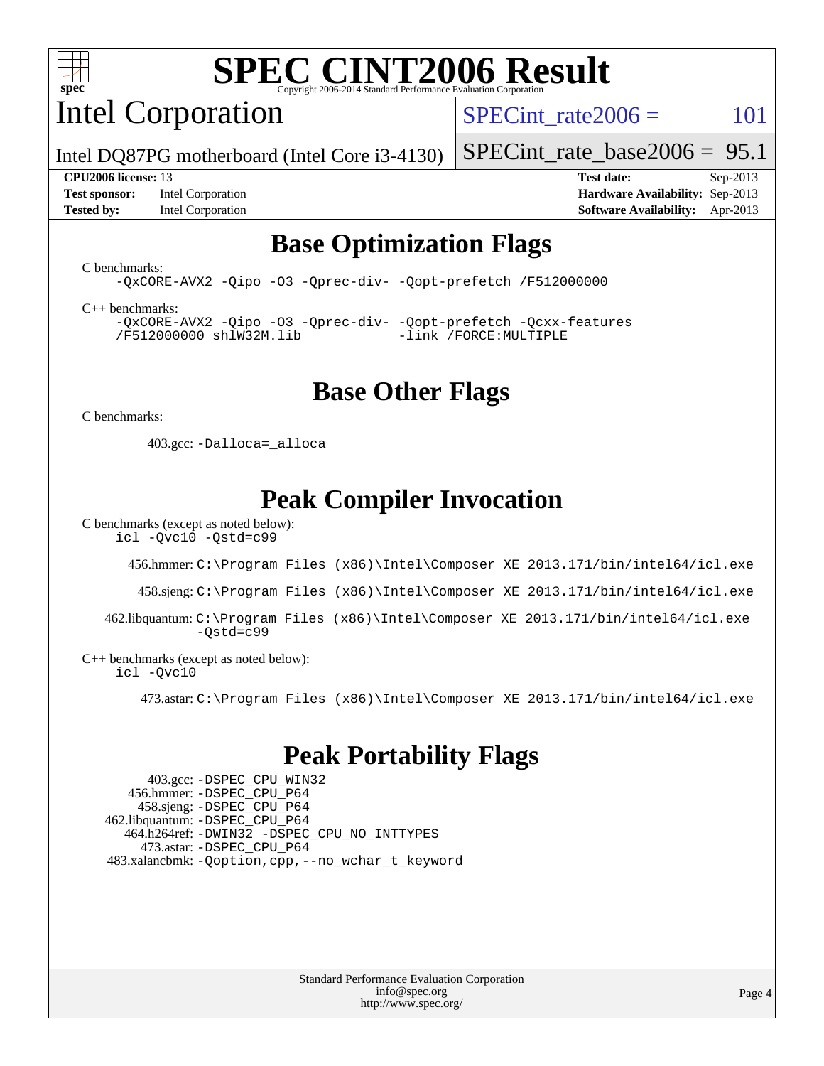

Intel Corporation

SPECint rate $2006 = 101$ 

Intel DQ87PG motherboard (Intel Core i3-4130)

**[Test sponsor:](http://www.spec.org/auto/cpu2006/Docs/result-fields.html#Testsponsor)** Intel Corporation **[Hardware Availability:](http://www.spec.org/auto/cpu2006/Docs/result-fields.html#HardwareAvailability)** Sep-2013

[SPECint\\_rate\\_base2006 =](http://www.spec.org/auto/cpu2006/Docs/result-fields.html#SPECintratebase2006) 95.1 **[CPU2006 license:](http://www.spec.org/auto/cpu2006/Docs/result-fields.html#CPU2006license)** 13 **[Test date:](http://www.spec.org/auto/cpu2006/Docs/result-fields.html#Testdate)** Sep-2013

**[Tested by:](http://www.spec.org/auto/cpu2006/Docs/result-fields.html#Testedby)** Intel Corporation **[Software Availability:](http://www.spec.org/auto/cpu2006/Docs/result-fields.html#SoftwareAvailability)** Apr-2013

### **[Base Optimization Flags](http://www.spec.org/auto/cpu2006/Docs/result-fields.html#BaseOptimizationFlags)**

[C benchmarks](http://www.spec.org/auto/cpu2006/Docs/result-fields.html#Cbenchmarks):

[-QxCORE-AVX2](http://www.spec.org/cpu2006/results/res2014q3/cpu2006-20140701-30257.flags.html#user_CCbase_f-QxAVX2_f98716b5f9e905f99c943c56f21bf430) [-Qipo](http://www.spec.org/cpu2006/results/res2014q3/cpu2006-20140701-30257.flags.html#user_CCbase_f-Qipo) [-O3](http://www.spec.org/cpu2006/results/res2014q3/cpu2006-20140701-30257.flags.html#user_CCbase_f-O3) [-Qprec-div-](http://www.spec.org/cpu2006/results/res2014q3/cpu2006-20140701-30257.flags.html#user_CCbase_f-Qprec-div-) [-Qopt-prefetch](http://www.spec.org/cpu2006/results/res2014q3/cpu2006-20140701-30257.flags.html#user_CCbase_f-Qprefetch_37c211608666b9dff9380561f602f0a8) [/F512000000](http://www.spec.org/cpu2006/results/res2014q3/cpu2006-20140701-30257.flags.html#user_CCbase_set_stack_space_98438a10eb60aa5f35f4c79d9b9b27b1)

[C++ benchmarks:](http://www.spec.org/auto/cpu2006/Docs/result-fields.html#CXXbenchmarks) [-QxCORE-AVX2](http://www.spec.org/cpu2006/results/res2014q3/cpu2006-20140701-30257.flags.html#user_CXXbase_f-QxAVX2_f98716b5f9e905f99c943c56f21bf430) [-Qipo](http://www.spec.org/cpu2006/results/res2014q3/cpu2006-20140701-30257.flags.html#user_CXXbase_f-Qipo) [-O3](http://www.spec.org/cpu2006/results/res2014q3/cpu2006-20140701-30257.flags.html#user_CXXbase_f-O3) [-Qprec-div-](http://www.spec.org/cpu2006/results/res2014q3/cpu2006-20140701-30257.flags.html#user_CXXbase_f-Qprec-div-) [-Qopt-prefetch](http://www.spec.org/cpu2006/results/res2014q3/cpu2006-20140701-30257.flags.html#user_CXXbase_f-Qprefetch_37c211608666b9dff9380561f602f0a8) [-Qcxx-features](http://www.spec.org/cpu2006/results/res2014q3/cpu2006-20140701-30257.flags.html#user_CXXbase_f-Qcxx_features_dbf36c8a6dba956e22f1645e4dcd4d98) [/F512000000](http://www.spec.org/cpu2006/results/res2014q3/cpu2006-20140701-30257.flags.html#user_CXXbase_set_stack_space_98438a10eb60aa5f35f4c79d9b9b27b1) [shlW32M.lib](http://www.spec.org/cpu2006/results/res2014q3/cpu2006-20140701-30257.flags.html#user_CXXbase_SmartHeap32_d106338dfda1a055705c9b519e07f096) [-link /FORCE:MULTIPLE](http://www.spec.org/cpu2006/results/res2014q3/cpu2006-20140701-30257.flags.html#user_CXXbase_link_force_multiple2_070fe330869edf77077b841074b8b0b6)

## **[Base Other Flags](http://www.spec.org/auto/cpu2006/Docs/result-fields.html#BaseOtherFlags)**

[C benchmarks](http://www.spec.org/auto/cpu2006/Docs/result-fields.html#Cbenchmarks):

403.gcc: [-Dalloca=\\_alloca](http://www.spec.org/cpu2006/results/res2014q3/cpu2006-20140701-30257.flags.html#b403.gcc_baseEXTRA_CFLAGS_Dalloca_be3056838c12de2578596ca5467af7f3)

# **[Peak Compiler Invocation](http://www.spec.org/auto/cpu2006/Docs/result-fields.html#PeakCompilerInvocation)**

[C benchmarks \(except as noted below\)](http://www.spec.org/auto/cpu2006/Docs/result-fields.html#Cbenchmarksexceptasnotedbelow):

[icl -Qvc10](http://www.spec.org/cpu2006/results/res2014q3/cpu2006-20140701-30257.flags.html#user_CCpeak_intel_icc_vc10_9607f3ecbcdf68042245f068e51b40c1) [-Qstd=c99](http://www.spec.org/cpu2006/results/res2014q3/cpu2006-20140701-30257.flags.html#user_CCpeak_intel_compiler_c99_mode_1a3d110e3041b3ad4466830521bdad2a)

456.hmmer: [C:\Program Files \(x86\)\Intel\Composer XE 2013.171/bin/intel64/icl.exe](http://www.spec.org/cpu2006/results/res2014q3/cpu2006-20140701-30257.flags.html#user_peakCCLD456_hmmer_intel_icc_64bit_a47adb23ffeeb40a4c72a454746f326c)

458.sjeng: [C:\Program Files \(x86\)\Intel\Composer XE 2013.171/bin/intel64/icl.exe](http://www.spec.org/cpu2006/results/res2014q3/cpu2006-20140701-30257.flags.html#user_peakCCLD458_sjeng_intel_icc_64bit_a47adb23ffeeb40a4c72a454746f326c)

 462.libquantum: [C:\Program Files \(x86\)\Intel\Composer XE 2013.171/bin/intel64/icl.exe](http://www.spec.org/cpu2006/results/res2014q3/cpu2006-20140701-30257.flags.html#user_peakCCLD462_libquantum_intel_icc_64bit_a47adb23ffeeb40a4c72a454746f326c) [-Qstd=c99](http://www.spec.org/cpu2006/results/res2014q3/cpu2006-20140701-30257.flags.html#user_peakCCLD462_libquantum_intel_compiler_c99_mode_1a3d110e3041b3ad4466830521bdad2a)

[C++ benchmarks \(except as noted below\):](http://www.spec.org/auto/cpu2006/Docs/result-fields.html#CXXbenchmarksexceptasnotedbelow) [icl -Qvc10](http://www.spec.org/cpu2006/results/res2014q3/cpu2006-20140701-30257.flags.html#user_CXXpeak_intel_icc_vc10_9607f3ecbcdf68042245f068e51b40c1)

473.astar: [C:\Program Files \(x86\)\Intel\Composer XE 2013.171/bin/intel64/icl.exe](http://www.spec.org/cpu2006/results/res2014q3/cpu2006-20140701-30257.flags.html#user_peakCXXLD473_astar_intel_icc_64bit_a47adb23ffeeb40a4c72a454746f326c)

## **[Peak Portability Flags](http://www.spec.org/auto/cpu2006/Docs/result-fields.html#PeakPortabilityFlags)**

 403.gcc: [-DSPEC\\_CPU\\_WIN32](http://www.spec.org/cpu2006/results/res2014q3/cpu2006-20140701-30257.flags.html#b403.gcc_peakCPORTABILITY_DSPEC_CPU_WIN32) 456.hmmer: [-DSPEC\\_CPU\\_P64](http://www.spec.org/cpu2006/results/res2014q3/cpu2006-20140701-30257.flags.html#suite_peakPORTABILITY456_hmmer_DSPEC_CPU_P64) 458.sjeng: [-DSPEC\\_CPU\\_P64](http://www.spec.org/cpu2006/results/res2014q3/cpu2006-20140701-30257.flags.html#suite_peakPORTABILITY458_sjeng_DSPEC_CPU_P64) 462.libquantum: [-DSPEC\\_CPU\\_P64](http://www.spec.org/cpu2006/results/res2014q3/cpu2006-20140701-30257.flags.html#suite_peakPORTABILITY462_libquantum_DSPEC_CPU_P64) 464.h264ref: [-DWIN32](http://www.spec.org/cpu2006/results/res2014q3/cpu2006-20140701-30257.flags.html#b464.h264ref_peakCPORTABILITY_DWIN32) [-DSPEC\\_CPU\\_NO\\_INTTYPES](http://www.spec.org/cpu2006/results/res2014q3/cpu2006-20140701-30257.flags.html#b464.h264ref_peakCPORTABILITY_DSPEC_CPU_NO_INTTYPES) 473.astar: [-DSPEC\\_CPU\\_P64](http://www.spec.org/cpu2006/results/res2014q3/cpu2006-20140701-30257.flags.html#suite_peakPORTABILITY473_astar_DSPEC_CPU_P64) 483.xalancbmk: [-Qoption,cpp,--no\\_wchar\\_t\\_keyword](http://www.spec.org/cpu2006/results/res2014q3/cpu2006-20140701-30257.flags.html#user_peakCXXPORTABILITY483_xalancbmk_f-no_wchar_t_keyword_ec0ad4495a16b4e858bfcb29d949d25d)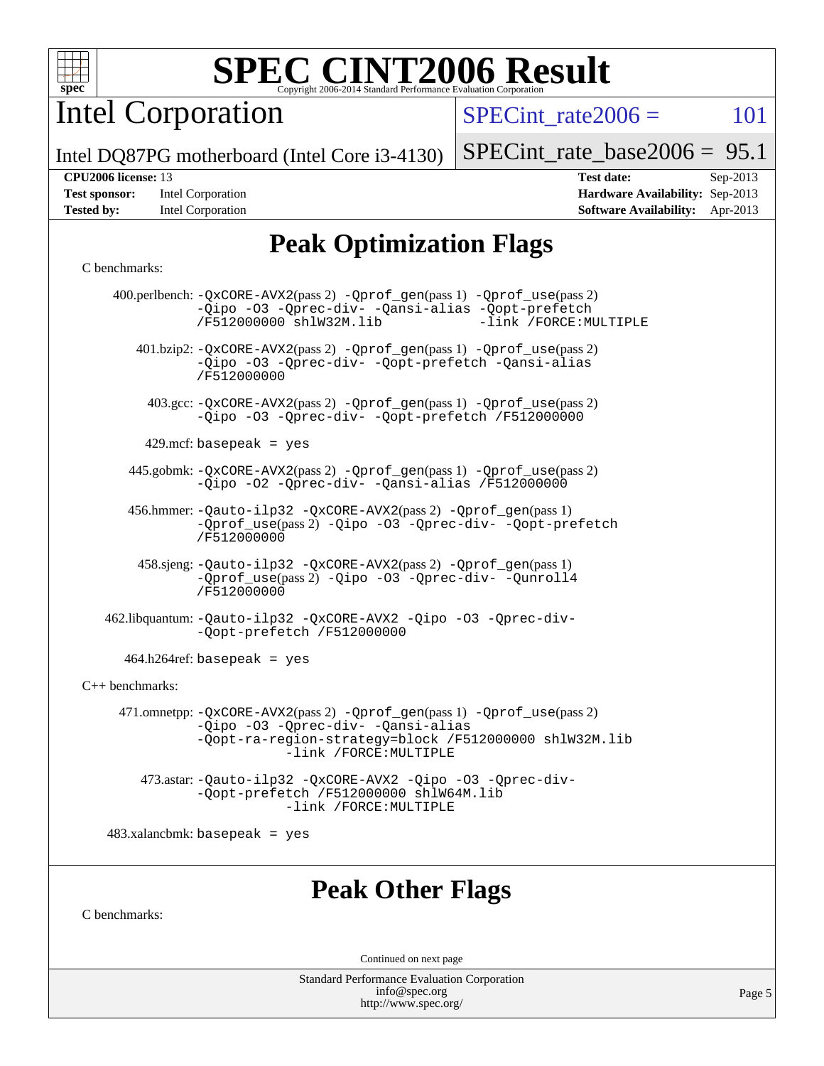

Intel Corporation

 $SPECTnt_rate2006 = 101$ 

Intel DQ87PG motherboard (Intel Core i3-4130)

### [SPECint\\_rate\\_base2006 =](http://www.spec.org/auto/cpu2006/Docs/result-fields.html#SPECintratebase2006) 95.1

| <b>Test sponsor:</b> | Intel Corporation |
|----------------------|-------------------|
| <b>Tested by:</b>    | Intel Corporation |

**[CPU2006 license:](http://www.spec.org/auto/cpu2006/Docs/result-fields.html#CPU2006license)** 13 **[Test date:](http://www.spec.org/auto/cpu2006/Docs/result-fields.html#Testdate)** Sep-2013 **[Hardware Availability:](http://www.spec.org/auto/cpu2006/Docs/result-fields.html#HardwareAvailability)** Sep-2013 **[Software Availability:](http://www.spec.org/auto/cpu2006/Docs/result-fields.html#SoftwareAvailability)** Apr-2013

# **[Peak Optimization Flags](http://www.spec.org/auto/cpu2006/Docs/result-fields.html#PeakOptimizationFlags)**

### [C benchmarks](http://www.spec.org/auto/cpu2006/Docs/result-fields.html#Cbenchmarks):

|                                 | $400.$ perlbench: $-\Qx \text{CORE}-\text{AVX2}(pass 2)$ $-\text{Qprof\_gen}(pass 1)$ $-\text{Qprof\_use}(pass 2)$<br>-Qipo -03 -Qprec-div- -Qansi-alias -Qopt-prefetch<br>/F512000000 shlW32M.lib<br>-link /FORCE: MULTIPLE |  |  |  |
|---------------------------------|------------------------------------------------------------------------------------------------------------------------------------------------------------------------------------------------------------------------------|--|--|--|
|                                 | 401.bzip2: -QxCORE-AVX2(pass 2) -Qprof_gen(pass 1) -Qprof_use(pass 2)<br>-Qipo -03 -Qprec-div- -Qopt-prefetch -Qansi-alias<br>/F512000000                                                                                    |  |  |  |
|                                 | 403.gcc: -QxCORE-AVX2(pass 2) -Qprof_gen(pass 1) -Qprof_use(pass 2)<br>-Qipo -03 -Qprec-div- -Qopt-prefetch /F512000000                                                                                                      |  |  |  |
|                                 | 429.mcf:basepeak = yes                                                                                                                                                                                                       |  |  |  |
|                                 | 445.gobmk: -QxCORE-AVX2(pass 2) -Qprof_gen(pass 1) -Qprof_use(pass 2)<br>-Qipo -02 -Qprec-div- -Qansi-alias /F512000000                                                                                                      |  |  |  |
|                                 | 456.hmmer: -Qauto-ilp32 -QxCORE-AVX2(pass 2) -Qprof_gen(pass 1)<br>-Oprof_use(pass 2) -Oipo -O3 -Oprec-div- -Oopt-prefetch<br>/F512000000                                                                                    |  |  |  |
|                                 | 458.sjeng: -Qauto-ilp32 -QxCORE-AVX2(pass 2) -Qprof_gen(pass 1)<br>-Qprof_use(pass 2) -Qipo -03 -Qprec-div- -Qunroll4<br>/F512000000                                                                                         |  |  |  |
|                                 | 462.libquantum: -Qauto-ilp32 -QxCORE-AVX2 -Qipo -03 -Qprec-div-<br>-Qopt-prefetch /F512000000                                                                                                                                |  |  |  |
|                                 | $464.h264$ ref: basepeak = yes                                                                                                                                                                                               |  |  |  |
| C++ benchmarks:                 |                                                                                                                                                                                                                              |  |  |  |
|                                 | 471.omnetpp: -QxCORE-AVX2(pass 2) -Qprof_gen(pass 1) -Qprof_use(pass 2)<br>-Qipo -03 -Qprec-div- -Qansi-alias<br>-Qopt-ra-region-strategy=block /F512000000 shlW32M.lib<br>-link /FORCE: MULTIPLE                            |  |  |  |
|                                 | 473.astar: -Qauto-ilp32 -QxCORE-AVX2 -Qipo -O3 -Qprec-div-<br>-Oopt-prefetch /F512000000 shlW64M.lib<br>-link /FORCE: MULTIPLE                                                                                               |  |  |  |
| $483.xalanchmk: basepeak = yes$ |                                                                                                                                                                                                                              |  |  |  |
| <b>Peak Other Flags</b>         |                                                                                                                                                                                                                              |  |  |  |
| C benchmarks:                   |                                                                                                                                                                                                                              |  |  |  |
| Continued on next page          |                                                                                                                                                                                                                              |  |  |  |
|                                 |                                                                                                                                                                                                                              |  |  |  |